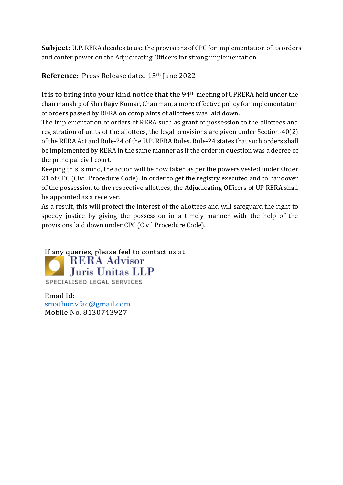**Subject:** U.P. RERA decides to use the provisions of CPC for implementation of its orders and confer power on the Adjudicating Officers for strong implementation.

## **Reference:** Press Release dated 15th June 2022

It is to bring into your kind notice that the 94th meeting of UPRERA held under the chairmanship of Shri Rajiv Kumar, Chairman, a more effective policy for implementation of orders passed by RERA on complaints of allottees was laid down.

The implementation of orders of RERA such as grant of possession to the allottees and registration of units of the allottees, the legal provisions are given under Section-40(2) of the RERA Act and Rule-24 of the U.P. RERA Rules. Rule-24 states that such orders shall be implemented by RERA in the same manner as if the order in question was a decree of the principal civil court.

Keeping this is mind, the action will be now taken as per the powers vested under Order 21 of CPC (Civil Procedure Code). In order to get the registry executed and to handover of the possession to the respective allottees, the Adjudicating Officers of UP RERA shall be appointed as a receiver.

As a result, this will protect the interest of the allottees and will safeguard the right to speedy justice by giving the possession in a timely manner with the help of the provisions laid down under CPC (Civil Procedure Code).

If any queries, please feel to contact us at<br> **RERA Advisor** Juris Unitas LLP SPECIALISED LEGAL SERVICES

Email Id: [smathur.vfac@gmail.com](mailto:smathur.vfac@gmail.com) Mobile No. 8130743927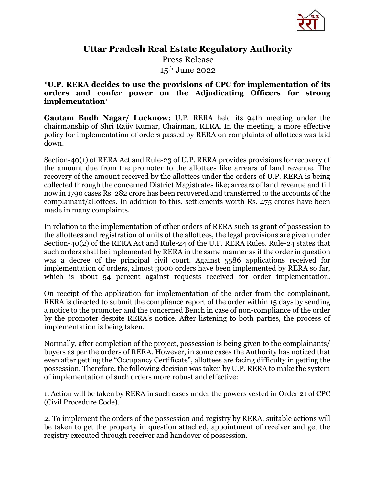

## Uttar Pradesh Real Estate Regulatory Authority

Press Release 15th June 2022

## \*U.P. RERA decides to use the provisions of CPC for implementation of its orders and confer power on the Adjudicating Officers for strong implementation\*

Gautam Budh Nagar/ Lucknow: U.P. RERA held its 94th meeting under the chairmanship of Shri Rajiv Kumar, Chairman, RERA. In the meeting, a more effective policy for implementation of orders passed by RERA on complaints of allottees was laid down.

Section-40(1) of RERA Act and Rule-23 of U.P. RERA provides provisions for recovery of the amount due from the promoter to the allottees like arrears of land revenue. The recovery of the amount received by the allottees under the orders of U.P. RERA is being collected through the concerned District Magistrates like; arrears of land revenue and till now in 1790 cases Rs. 282 crore has been recovered and transferred to the accounts of the complainant/allottees. In addition to this, settlements worth Rs. 475 crores have been made in many complaints.

In relation to the implementation of other orders of RERA such as grant of possession to the allottees and registration of units of the allottees, the legal provisions are given under Section-40(2) of the RERA Act and Rule-24 of the U.P. RERA Rules. Rule-24 states that such orders shall be implemented by RERA in the same manner as if the order in question was a decree of the principal civil court. Against 5586 applications received for implementation of orders, almost 3000 orders have been implemented by RERA so far, which is about 54 percent against requests received for order implementation.

On receipt of the application for implementation of the order from the complainant, RERA is directed to submit the compliance report of the order within 15 days by sending a notice to the promoter and the concerned Bench in case of non-compliance of the order by the promoter despite RERA's notice. After listening to both parties, the process of implementation is being taken.

Normally, after completion of the project, possession is being given to the complainants/ buyers as per the orders of RERA. However, in some cases the Authority has noticed that even after getting the "Occupancy Certificate", allottees are facing difficulty in getting the possession. Therefore, the following decision was taken by U.P. RERA to make the system of implementation of such orders more robust and effective:

1. Action will be taken by RERA in such cases under the powers vested in Order 21 of CPC (Civil Procedure Code).

2. To implement the orders of the possession and registry by RERA, suitable actions will be taken to get the property in question attached, appointment of receiver and get the registry executed through receiver and handover of possession.